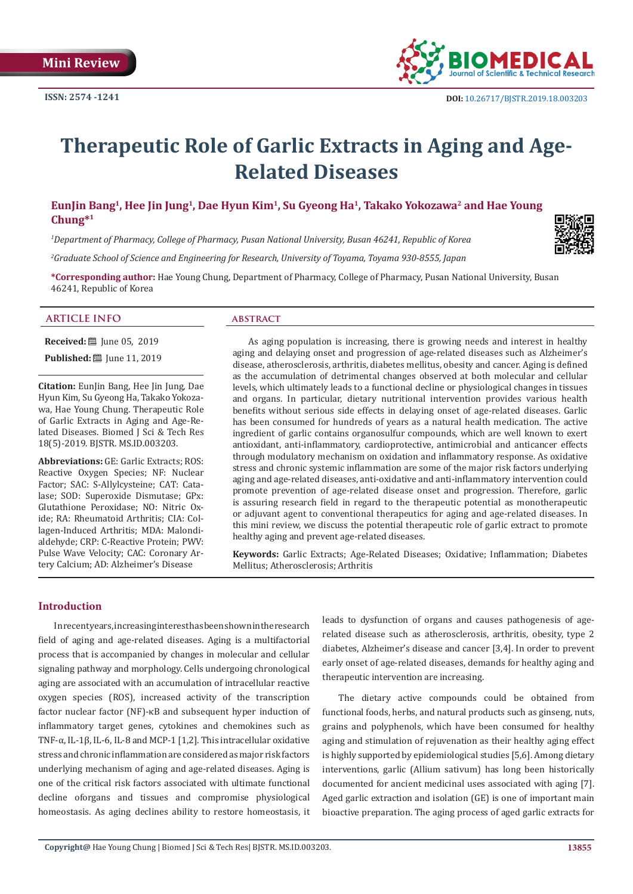

# **Therapeutic Role of Garlic Extracts in Aging and Age-Related Diseases**

**EunJin Bang1, Hee Jin Jung1, Dae Hyun Kim1, Su Gyeong Ha1, Takako Yokozawa2 and Hae Young Chung\*1**

*1 Department of Pharmacy, College of Pharmacy, Pusan National University, Busan 46241, Republic of Korea*

*2 Graduate School of Science and Engineering for Research, University of Toyama, Toyama 930-8555, Japan*

**\*Corresponding author:** Hae Young Chung, Department of Pharmacy, College of Pharmacy, Pusan National University, Busan 46241, Republic of Korea

#### **ARTICLE INFO abstract**

**Received:** ■ June 05, 2019

**Published:** [Une 11, 2019]

**Citation:** EunJin Bang, Hee Jin Jung, Dae Hyun Kim, Su Gyeong Ha, Takako Yokozawa, Hae Young Chung. Therapeutic Role of Garlic Extracts in Aging and Age-Related Diseases. Biomed J Sci & Tech Res 18(5)-2019. BJSTR. MS.ID.003203.

**Abbreviations:** GE: Garlic Extracts; ROS: Reactive Oxygen Species; NF: Nuclear Factor; SAC: S-Allylcysteine; CAT: Catalase; SOD: Superoxide Dismutase; GPx: Glutathione Peroxidase; NO: Nitric Oxide; RA: Rheumatoid Arthritis; CIA: Collagen-Induced Arthritis; MDA: Malondialdehyde; CRP: C-Reactive Protein; PWV: Pulse Wave Velocity; CAC: Coronary Artery Calcium; AD: Alzheimer's Disease

As aging population is increasing, there is growing needs and interest in healthy aging and delaying onset and progression of age-related diseases such as Alzheimer's disease, atherosclerosis, arthritis, diabetes mellitus, obesity and cancer. Aging is defined as the accumulation of detrimental changes observed at both molecular and cellular levels, which ultimately leads to a functional decline or physiological changes in tissues and organs. In particular, dietary nutritional intervention provides various health benefits without serious side effects in delaying onset of age-related diseases. Garlic has been consumed for hundreds of years as a natural health medication. The active ingredient of garlic contains organosulfur compounds, which are well known to exert antioxidant, anti-inflammatory, cardioprotective, antimicrobial and anticancer effects through modulatory mechanism on oxidation and inflammatory response. As oxidative stress and chronic systemic inflammation are some of the major risk factors underlying aging and age-related diseases, anti-oxidative and anti-inflammatory intervention could promote prevention of age-related disease onset and progression. Therefore, garlic is assuring research field in regard to the therapeutic potential as monotherapeutic or adjuvant agent to conventional therapeutics for aging and age-related diseases. In this mini review, we discuss the potential therapeutic role of garlic extract to promote healthy aging and prevent age-related diseases.

**Keywords:** Garlic Extracts; Age-Related Diseases; Oxidative; Inflammation; Diabetes Mellitus; Atherosclerosis; Arthritis

#### **Introduction**

In recent years, increasing interest has been shown in the research field of aging and age-related diseases. Aging is a multifactorial process that is accompanied by changes in molecular and cellular signaling pathway and morphology. Cells undergoing chronological aging are associated with an accumulation of intracellular reactive oxygen species (ROS), increased activity of the transcription factor nuclear factor (NF)-κB and subsequent hyper induction of inflammatory target genes, cytokines and chemokines such as TNF-α, IL-1β, IL-6, IL-8 and MCP-1 [1,2]. This intracellular oxidative stress and chronic inflammation are considered as major risk factors underlying mechanism of aging and age-related diseases. Aging is one of the critical risk factors associated with ultimate functional decline oforgans and tissues and compromise physiological homeostasis. As aging declines ability to restore homeostasis, it leads to dysfunction of organs and causes pathogenesis of agerelated disease such as atherosclerosis, arthritis, obesity, type 2 diabetes, Alzheimer's disease and cancer [3,4]. In order to prevent early onset of age-related diseases, demands for healthy aging and therapeutic intervention are increasing.

The dietary active compounds could be obtained from functional foods, herbs, and natural products such as ginseng, nuts, grains and polyphenols, which have been consumed for healthy aging and stimulation of rejuvenation as their healthy aging effect is highly supported by epidemiological studies [5,6]. Among dietary interventions, garlic (Allium sativum) has long been historically documented for ancient medicinal uses associated with aging [7]. Aged garlic extraction and isolation (GE) is one of important main bioactive preparation. The aging process of aged garlic extracts for

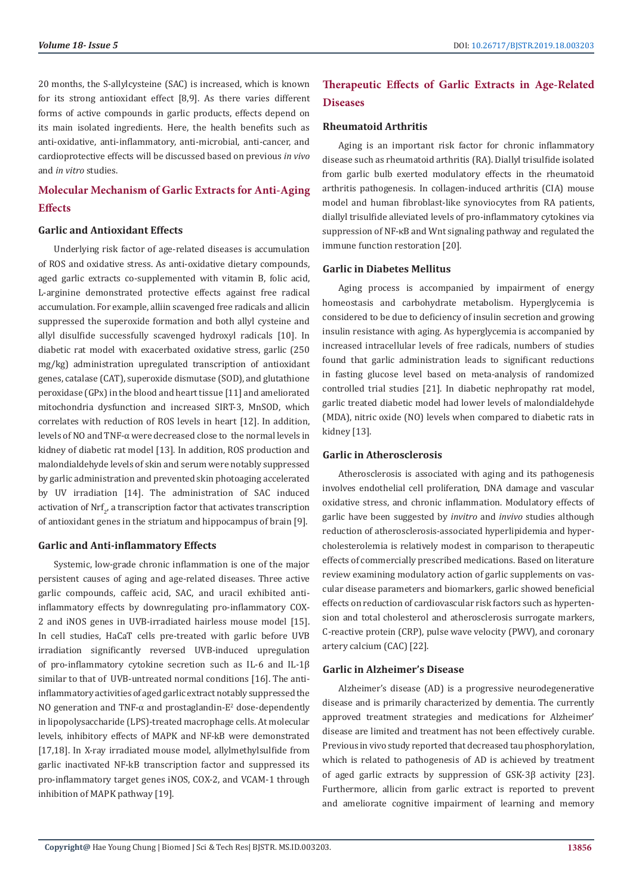20 months, the S-allylcysteine (SAC) is increased, which is known for its strong antioxidant effect [8,9]. As there varies different forms of active compounds in garlic products, effects depend on its main isolated ingredients. Here, the health benefits such as anti-oxidative, anti-inflammatory, anti-microbial, anti-cancer, and cardioprotective effects will be discussed based on previous *in vivo* and *in vitro* studies.

## **Molecular Mechanism of Garlic Extracts for Anti-Aging Effects**

#### **Garlic and Antioxidant Effects**

Underlying risk factor of age-related diseases is accumulation of ROS and oxidative stress. As anti-oxidative dietary compounds, aged garlic extracts co-supplemented with vitamin B, folic acid, L-arginine demonstrated protective effects against free radical accumulation. For example, alliin scavenged free radicals and allicin suppressed the superoxide formation and both allyl cysteine and allyl disulfide successfully scavenged hydroxyl radicals [10]. In diabetic rat model with exacerbated oxidative stress, garlic (250 mg/kg) administration upregulated transcription of antioxidant genes, catalase (CAT), superoxide dismutase (SOD), and glutathione peroxidase (GPx) in the blood and heart tissue [11] and ameliorated mitochondria dysfunction and increased SIRT-3, MnSOD, which correlates with reduction of ROS levels in heart [12]. In addition, levels of NO and TNF-α were decreased close to the normal levels in kidney of diabetic rat model [13]. In addition, ROS production and malondialdehyde levels of skin and serum were notably suppressed by garlic administration and prevented skin photoaging accelerated by UV irradiation [14]. The administration of SAC induced activation of  $\mathrm{Nrt}_2$ , a transcription factor that activates transcription of antioxidant genes in the striatum and hippocampus of brain [9].

#### **Garlic and Anti-inflammatory Effects**

Systemic, low-grade chronic inflammation is one of the major persistent causes of aging and age-related diseases. Three active garlic compounds, caffeic acid, SAC, and uracil exhibited antiinflammatory effects by downregulating pro-inflammatory COX-2 and iNOS genes in UVB-irradiated hairless mouse model [15]. In cell studies, HaCaT cells pre-treated with garlic before UVB irradiation significantly reversed UVB-induced upregulation of pro-inflammatory cytokine secretion such as IL-6 and IL-1β similar to that of UVB-untreated normal conditions [16]. The antiinflammatory activities of aged garlic extract notably suppressed the NO generation and TNF- $\alpha$  and prostaglandin-E<sup>2</sup> dose-dependently in lipopolysaccharide (LPS)-treated macrophage cells. At molecular levels, inhibitory effects of MAPK and NF-kB were demonstrated [17,18]. In X-ray irradiated mouse model, allylmethylsulfide from garlic inactivated NF-kB transcription factor and suppressed its pro-inflammatory target genes iNOS, COX-2, and VCAM-1 through inhibition of MAPK pathway [19].

# **Therapeutic Effects of Garlic Extracts in Age-Related Diseases**

#### **Rheumatoid Arthritis**

Aging is an important risk factor for chronic inflammatory disease such as rheumatoid arthritis (RA). Diallyl trisulfide isolated from garlic bulb exerted modulatory effects in the rheumatoid arthritis pathogenesis. In collagen-induced arthritis (CIA) mouse model and human fibroblast-like synoviocytes from RA patients, diallyl trisulfide alleviated levels of pro-inflammatory cytokines via suppression of NF-κB and Wnt signaling pathway and regulated the immune function restoration [20].

#### **Garlic in Diabetes Mellitus**

Aging process is accompanied by impairment of energy homeostasis and carbohydrate metabolism. Hyperglycemia is considered to be due to deficiency of insulin secretion and growing insulin resistance with aging. As hyperglycemia is accompanied by increased intracellular levels of free radicals, numbers of studies found that garlic administration leads to significant reductions in fasting glucose level based on meta-analysis of randomized controlled trial studies [21]. In diabetic nephropathy rat model, garlic treated diabetic model had lower levels of malondialdehyde (MDA), nitric oxide (NO) levels when compared to diabetic rats in kidney [13].

### **Garlic in Atherosclerosis**

Atherosclerosis is associated with aging and its pathogenesis involves endothelial cell proliferation, DNA damage and vascular oxidative stress, and chronic inflammation. Modulatory effects of garlic have been suggested by *invitro* and *invivo* studies although reduction of atherosclerosis-associated hyperlipidemia and hypercholesterolemia is relatively modest in comparison to therapeutic effects of commercially prescribed medications. Based on literature review examining modulatory action of garlic supplements on vascular disease parameters and biomarkers, garlic showed beneficial effects on reduction of cardiovascular risk factors such as hypertension and total cholesterol and atherosclerosis surrogate markers, C-reactive protein (CRP), pulse wave velocity (PWV), and coronary artery calcium (CAC) [22].

#### **Garlic in Alzheimer's Disease**

Alzheimer's disease (AD) is a progressive neurodegenerative disease and is primarily characterized by dementia. The currently approved treatment strategies and medications for Alzheimer' disease are limited and treatment has not been effectively curable. Previous in vivo study reported that decreased tau phosphorylation, which is related to pathogenesis of AD is achieved by treatment of aged garlic extracts by suppression of GSK-3β activity [23]. Furthermore, allicin from garlic extract is reported to prevent and ameliorate cognitive impairment of learning and memory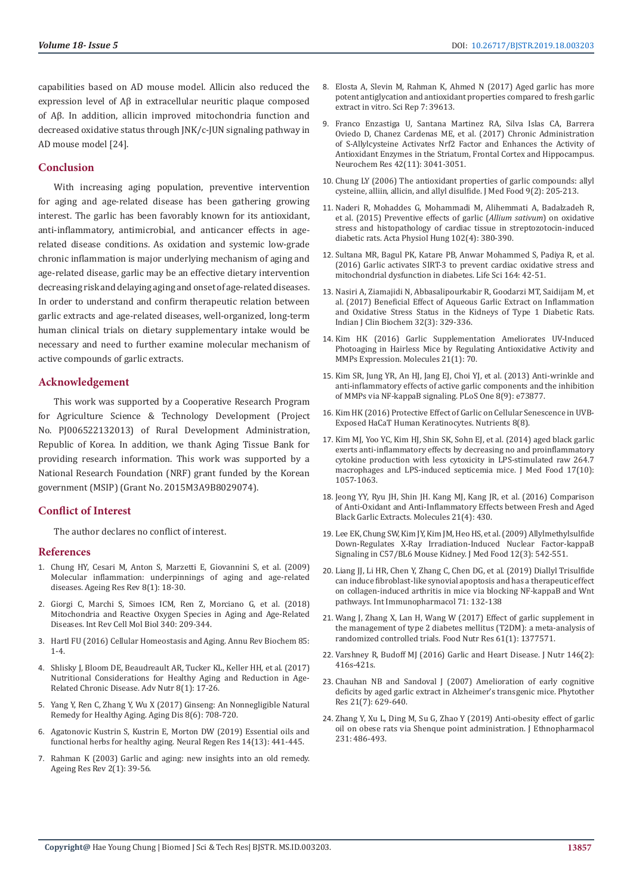capabilities based on AD mouse model. Allicin also reduced the expression level of Aβ in extracellular neuritic plaque composed of Aβ. In addition, allicin improved mitochondria function and decreased oxidative status through JNK/c-JUN signaling pathway in AD mouse model [24].

#### **Conclusion**

With increasing aging population, preventive intervention for aging and age-related disease has been gathering growing interest. The garlic has been favorably known for its antioxidant, anti-inflammatory, antimicrobial, and anticancer effects in agerelated disease conditions. As oxidation and systemic low-grade chronic inflammation is major underlying mechanism of aging and age-related disease, garlic may be an effective dietary intervention decreasing risk and delaying aging and onset of age-related diseases. In order to understand and confirm therapeutic relation between garlic extracts and age-related diseases, well-organized, long-term human clinical trials on dietary supplementary intake would be necessary and need to further examine molecular mechanism of active compounds of garlic extracts.

#### **Acknowledgement**

This work was supported by a Cooperative Research Program for Agriculture Science & Technology Development (Project No. PJ006522132013) of Rural Development Administration, Republic of Korea. In addition, we thank Aging Tissue Bank for providing research information. This work was supported by a National Research Foundation (NRF) grant funded by the Korean government (MSIP) (Grant No. 2015M3A9B8029074).

#### **Conflict of Interest**

The author declares no conflict of interest.

#### **References**

- 1. [Chung HY, Cesari M, Anton S, Marzetti E, Giovannini S, et al. \(2009\)](https://www.ncbi.nlm.nih.gov/pubmed/18692159)  [Molecular inflammation: underpinnings of aging and age-related](https://www.ncbi.nlm.nih.gov/pubmed/18692159)  [diseases. Ageing Res Rev 8\(1\): 18-30.](https://www.ncbi.nlm.nih.gov/pubmed/18692159)
- 2. [Giorgi C, Marchi S, Simoes ICM, Ren Z, Morciano G, et al. \(2018\)](https://www.ncbi.nlm.nih.gov/pubmed/30072092)  [Mitochondria and Reactive Oxygen Species in Aging and Age-Related](https://www.ncbi.nlm.nih.gov/pubmed/30072092)  [Diseases. Int Rev Cell Mol Biol 340: 209-344.](https://www.ncbi.nlm.nih.gov/pubmed/30072092)
- 3. [Hartl FU \(2016\) Cellular Homeostasis and Aging. Annu Rev Biochem 85:](https://www.ncbi.nlm.nih.gov/pubmed/27050288)  [1-4.](https://www.ncbi.nlm.nih.gov/pubmed/27050288)
- 4. [Shlisky J, Bloom DE, Beaudreault AR, Tucker KL, Keller HH, et al. \(2017\)](https://www.ncbi.nlm.nih.gov/pubmed/28096124)  [Nutritional Considerations for Healthy Aging and Reduction in Age-](https://www.ncbi.nlm.nih.gov/pubmed/28096124)[Related Chronic Disease. Adv Nutr 8\(1\): 17-26](https://www.ncbi.nlm.nih.gov/pubmed/28096124).
- 5. [Yang Y, Ren C, Zhang Y, Wu X \(2017\) Ginseng: An Nonnegligible Natural](https://www.ncbi.nlm.nih.gov/pubmed/29344412)  [Remedy for Healthy Aging. Aging Dis 8\(6\): 708-720](https://www.ncbi.nlm.nih.gov/pubmed/29344412).
- 6. [Agatonovic Kustrin S, Kustrin E, Morton DW \(2019\) Essential oils and](https://www.ncbi.nlm.nih.gov/pubmed/30539810)  [functional herbs for healthy aging. Neural Regen Res 14\(13\): 441-445](https://www.ncbi.nlm.nih.gov/pubmed/30539810).
- 7. [Rahman K \(2003\) Garlic and aging: new insights into an old remedy.](https://www.ncbi.nlm.nih.gov/pubmed/12437995)  [Ageing Res Rev 2\(1\): 39-56](https://www.ncbi.nlm.nih.gov/pubmed/12437995).
- 8. [Elosta A, Slevin M, Rahman K, Ahmed N \(2017\) Aged garlic has more](https://www.nature.com/articles/srep39613) [potent antiglycation and antioxidant properties compared to fresh garlic](https://www.nature.com/articles/srep39613) [extract in vitro. Sci Rep 7: 39613](https://www.nature.com/articles/srep39613).
- 9. [Franco Enzastiga U, Santana Martinez RA, Silva Islas CA, Barrera](https://www.ncbi.nlm.nih.gov/pubmed/28646259) [Oviedo D, Chanez Cardenas ME, et al. \(2017\) Chronic Administration](https://www.ncbi.nlm.nih.gov/pubmed/28646259) [of S-Allylcysteine Activates Nrf2 Factor and Enhances the Activity of](https://www.ncbi.nlm.nih.gov/pubmed/28646259) [Antioxidant Enzymes in the Striatum, Frontal Cortex and Hippocampus.](https://www.ncbi.nlm.nih.gov/pubmed/28646259) [Neurochem Res 42\(11\): 3041-3051.](https://www.ncbi.nlm.nih.gov/pubmed/28646259)
- 10. [Chung LY \(2006\) The antioxidant properties of garlic compounds: allyl](https://www.ncbi.nlm.nih.gov/pubmed/16822206) [cysteine, alliin, allicin, and allyl disulfide. J Med Food 9\(2\): 205-213.](https://www.ncbi.nlm.nih.gov/pubmed/16822206)
- 11. [Naderi R, Mohaddes G, Mohammadi M, Alihemmati A, Badalzadeh R,](https://www.ncbi.nlm.nih.gov/pubmed/26690030) [et al. \(2015\) Preventive effects of garlic \(](https://www.ncbi.nlm.nih.gov/pubmed/26690030)*Allium sativum*) on oxidative [stress and histopathology of cardiac tissue in streptozotocin-induced](https://www.ncbi.nlm.nih.gov/pubmed/26690030) [diabetic rats. Acta Physiol Hung 102\(4\): 380-390.](https://www.ncbi.nlm.nih.gov/pubmed/26690030)
- 12. [Sultana MR, Bagul PK, Katare PB, Anwar Mohammed S, Padiya R, et al.](https://www.ncbi.nlm.nih.gov/pubmed/27590611) [\(2016\) Garlic activates SIRT-3 to prevent cardiac oxidative stress and](https://www.ncbi.nlm.nih.gov/pubmed/27590611) [mitochondrial dysfunction in diabetes. Life Sci 164: 42-51](https://www.ncbi.nlm.nih.gov/pubmed/27590611).
- 13. [Nasiri A, Ziamajidi N, Abbasalipourkabir R, Goodarzi MT, Saidijam M, et](https://www.ncbi.nlm.nih.gov/pubmed/28811693) [al. \(2017\) Beneficial Effect of Aqueous Garlic Extract on Inflammation](https://www.ncbi.nlm.nih.gov/pubmed/28811693) [and Oxidative Stress Status in the Kidneys of Type 1 Diabetic Rats.](https://www.ncbi.nlm.nih.gov/pubmed/28811693) [Indian J Clin Biochem 32\(3\): 329-336.](https://www.ncbi.nlm.nih.gov/pubmed/28811693)
- 14. [Kim HK \(2016\) Garlic Supplementation Ameliorates UV-Induced](https://www.ncbi.nlm.nih.gov/pubmed/26760989) [Photoaging in Hairless Mice by Regulating Antioxidative Activity and](https://www.ncbi.nlm.nih.gov/pubmed/26760989) [MMPs Expression. Molecules 21\(1\): 70](https://www.ncbi.nlm.nih.gov/pubmed/26760989).
- 15. [Kim SR, Jung YR, An HJ, Jang EJ, Choi YJ, et al. \(2013\) Anti-wrinkle and](https://www.ncbi.nlm.nih.gov/pubmed/24066081) [anti-inflammatory effects of active garlic components and the inhibition](https://www.ncbi.nlm.nih.gov/pubmed/24066081) [of MMPs via NF-kappaB signaling. PLoS One 8\(9\): e73877](https://www.ncbi.nlm.nih.gov/pubmed/24066081).
- 16. [Kim HK \(2016\) Protective Effect of Garlic on Cellular Senescence in UVB-](https://www.ncbi.nlm.nih.gov/pubmed/27483310)[Exposed HaCaT Human Keratinocytes. Nutrients 8\(8\).](https://www.ncbi.nlm.nih.gov/pubmed/27483310)
- 17. [Kim MJ, Yoo YC, Kim HJ, Shin SK, Sohn EJ, et al. \(2014\) aged black garlic](https://www.ncbi.nlm.nih.gov/pubmed/25238199) [exerts anti-inflammatory effects by decreasing no and proinflammatory](https://www.ncbi.nlm.nih.gov/pubmed/25238199) [cytokine production with less cytoxicity in LPS-stimulated raw 264.7](https://www.ncbi.nlm.nih.gov/pubmed/25238199) [macrophages and LPS-induced septicemia mice. J Med Food 17\(10\):](https://www.ncbi.nlm.nih.gov/pubmed/25238199) [1057-1063.](https://www.ncbi.nlm.nih.gov/pubmed/25238199)
- 18. [Jeong YY, Ryu JH, Shin JH. Kang MJ, Kang JR, et al. \(2016\) Comparison](https://www.ncbi.nlm.nih.gov/pubmed/27043510) [of Anti-Oxidant and Anti-Inflammatory Effects between Fresh and Aged](https://www.ncbi.nlm.nih.gov/pubmed/27043510) [Black Garlic Extracts. Molecules 21\(4\): 430.](https://www.ncbi.nlm.nih.gov/pubmed/27043510)
- 19. [Lee EK, Chung SW, Kim JY, Kim JM, Heo HS, et al. \(2009\) Allylmethylsulfide](https://www.ncbi.nlm.nih.gov/pubmed/19627202) [Down-Regulates X-Ray Irradiation-Induced Nuclear Factor-kappaB](https://www.ncbi.nlm.nih.gov/pubmed/19627202) [Signaling in C57/BL6 Mouse Kidney. J Med Food 12\(3\): 542-551.](https://www.ncbi.nlm.nih.gov/pubmed/19627202)
- 20. [Liang JJ, Li HR, Chen Y, Zhang C, Chen DG, et al. \(2019\) Diallyl Trisulfide](https://www.ncbi.nlm.nih.gov/pubmed/30897500) [can induce fibroblast-like synovial apoptosis and has a therapeutic effect](https://www.ncbi.nlm.nih.gov/pubmed/30897500) [on collagen-induced arthritis in mice via blocking NF-kappaB and Wnt](https://www.ncbi.nlm.nih.gov/pubmed/30897500) [pathways. Int Immunopharmacol 71: 132-138](https://www.ncbi.nlm.nih.gov/pubmed/30897500)
- 21. [Wang J, Zhang X, Lan H, Wang W \(2017\) Effect of garlic supplement in](https://www.ncbi.nlm.nih.gov/pmc/articles/PMC5642189/) [the management of type 2 diabetes mellitus \(T2DM\): a meta-analysis of](https://www.ncbi.nlm.nih.gov/pmc/articles/PMC5642189/) [randomized controlled trials. Food Nutr Res 61\(1\): 1377571.](https://www.ncbi.nlm.nih.gov/pmc/articles/PMC5642189/)
- 22. [Varshney R, Budoff MJ \(2016\) Garlic and Heart Disease. J Nutr 146\(2\):](https://www.ncbi.nlm.nih.gov/pubmed/26764327) [416s-421s.](https://www.ncbi.nlm.nih.gov/pubmed/26764327)
- 23. [Chauhan NB and Sandoval J \(2007\) Amelioration of early cognitive](https://www.ncbi.nlm.nih.gov/pubmed/17380553) [deficits by aged garlic extract in Alzheimer's transgenic mice. Phytother](https://www.ncbi.nlm.nih.gov/pubmed/17380553) [Res 21\(7\): 629-640.](https://www.ncbi.nlm.nih.gov/pubmed/17380553)
- 24. [Zhang Y, Xu L, Ding M, Su G, Zhao Y \(2019\) Anti-obesity effect of garlic](https://www.ncbi.nlm.nih.gov/pubmed/30472401) [oil on obese rats via Shenque point administration. J Ethnopharmacol](https://www.ncbi.nlm.nih.gov/pubmed/30472401) [231: 486-493.](https://www.ncbi.nlm.nih.gov/pubmed/30472401)